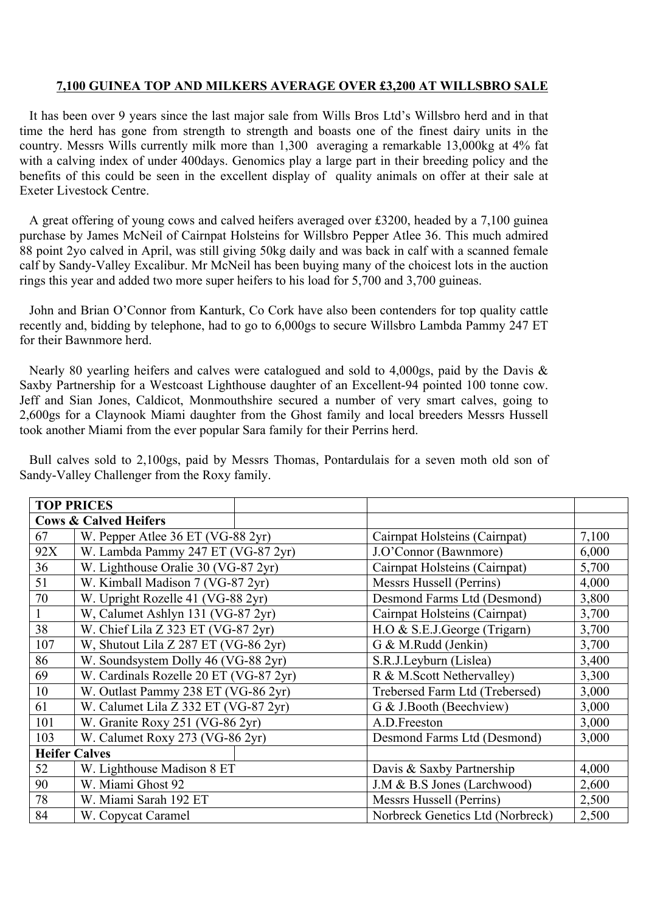## **7,100 GUINEA TOP AND MILKERS AVERAGE OVER £3,200 AT WILLSBRO SALE**

It has been over 9 years since the last major sale from Wills Bros Ltd's Willsbro herd and in that time the herd has gone from strength to strength and boasts one of the finest dairy units in the country. Messrs Wills currently milk more than 1,300 averaging a remarkable 13,000kg at 4% fat with a calving index of under 400 days. Genomics play a large part in their breeding policy and the benefits of this could be seen in the excellent display of quality animals on offer at their sale at Exeter Livestock Centre.

A great offering of young cows and calved heifers averaged over £3200, headed by a 7,100 guinea purchase by James McNeil of Cairnpat Holsteins for Willsbro Pepper Atlee 36. This much admired 88 point 2yo calved in April, was still giving 50kg daily and was back in calf with a scanned female calf by Sandy-Valley Excalibur. Mr McNeil has been buying many of the choicest lots in the auction rings this year and added two more super heifers to his load for 5,700 and 3,700 guineas.

John and Brian O'Connor from Kanturk, Co Cork have also been contenders for top quality cattle recently and, bidding by telephone, had to go to 6,000gs to secure Willsbro Lambda Pammy 247 ET for their Bawnmore herd.

Nearly 80 yearling heifers and calves were catalogued and sold to 4,000gs, paid by the Davis & Saxby Partnership for a Westcoast Lighthouse daughter of an Excellent-94 pointed 100 tonne cow. Jeff and Sian Jones, Caldicot, Monmouthshire secured a number of very smart calves, going to 2,600gs for a Claynook Miami daughter from the Ghost family and local breeders Messrs Hussell took another Miami from the ever popular Sara family for their Perrins herd.

Bull calves sold to 2,100gs, paid by Messrs Thomas, Pontardulais for a seven moth old son of Sandy-Valley Challenger from the Roxy family.

| <b>TOP PRICES</b> |                                        |  |                                  |       |  |  |
|-------------------|----------------------------------------|--|----------------------------------|-------|--|--|
|                   | <b>Cows &amp; Calved Heifers</b>       |  |                                  |       |  |  |
| 67                | W. Pepper Atlee 36 ET (VG-88 2yr)      |  | Cairnpat Holsteins (Cairnpat)    | 7,100 |  |  |
| 92X               | W. Lambda Pammy 247 ET (VG-87 2yr)     |  | J.O'Connor (Bawnmore)            | 6,000 |  |  |
| 36                | W. Lighthouse Oralie 30 (VG-87 2yr)    |  | Cairnpat Holsteins (Cairnpat)    | 5,700 |  |  |
| 51                | W. Kimball Madison 7 (VG-87 2yr)       |  | Messrs Hussell (Perrins)         | 4,000 |  |  |
| 70                | W. Upright Rozelle 41 (VG-88 2yr)      |  | Desmond Farms Ltd (Desmond)      | 3,800 |  |  |
|                   | W, Calumet Ashlyn 131 (VG-87 2yr)      |  | Cairnpat Holsteins (Cairnpat)    | 3,700 |  |  |
| 38                | W. Chief Lila Z 323 ET (VG-87 $2yr$ )  |  | H.O & S.E.J.George (Trigarn)     | 3,700 |  |  |
| 107               | W, Shutout Lila Z 287 ET (VG-86 2yr)   |  | G & M.Rudd (Jenkin)              | 3,700 |  |  |
| 86                | W. Soundsystem Dolly 46 (VG-88 2yr)    |  | S.R.J.Leyburn (Lislea)           | 3,400 |  |  |
| 69                | W. Cardinals Rozelle 20 ET (VG-87 2yr) |  | R & M.Scott Nethervalley)        | 3,300 |  |  |
| 10                | W. Outlast Pammy 238 ET (VG-86 2yr)    |  | Trebersed Farm Ltd (Trebersed)   | 3,000 |  |  |
| 61                | W. Calumet Lila Z 332 ET (VG-87 2yr)   |  | G & J.Booth (Beechview)          | 3,000 |  |  |
| 101               | W. Granite Roxy 251 (VG-86 2yr)        |  | A.D.Freeston                     | 3,000 |  |  |
| 103               | W. Calumet Roxy 273 (VG-86 2yr)        |  | Desmond Farms Ltd (Desmond)      | 3,000 |  |  |
|                   | <b>Heifer Calves</b>                   |  |                                  |       |  |  |
| 52                | W. Lighthouse Madison 8 ET             |  | Davis & Saxby Partnership        | 4,000 |  |  |
| 90                | W. Miami Ghost 92                      |  | J.M & B.S Jones (Larchwood)      | 2,600 |  |  |
| 78                | W. Miami Sarah 192 ET                  |  | Messrs Hussell (Perrins)         | 2,500 |  |  |
| 84                | W. Copycat Caramel                     |  | Norbreck Genetics Ltd (Norbreck) | 2,500 |  |  |